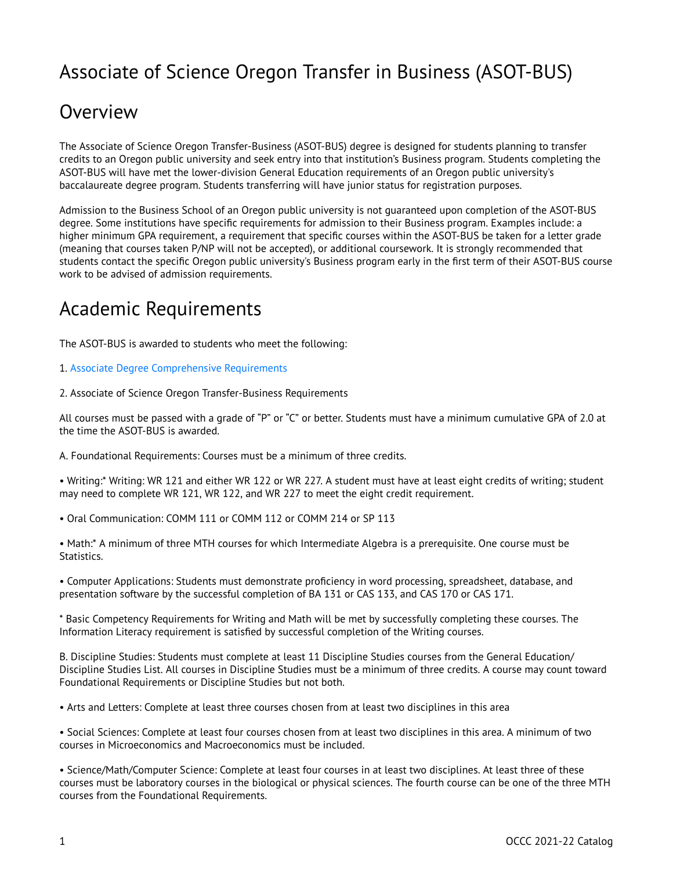## Associate of Science Oregon Transfer in Business (ASOT-BUS)

### **Overview**

The Associate of Science Oregon Transfer-Business (ASOT-BUS) degree is designed for students planning to transfer credits to an Oregon public university and seek entry into that institution's Business program. Students completing the ASOT-BUS will have met the lower-division General Education requirements of an Oregon public university's baccalaureate degree program. Students transferring will have junior status for registration purposes.

Admission to the Business School of an Oregon public university is not guaranteed upon completion of the ASOT-BUS degree. Some institutions have specific requirements for admission to their Business program. Examples include: a higher minimum GPA requirement, a requirement that specific courses within the ASOT-BUS be taken for a letter grade (meaning that courses taken P/NP will not be accepted), or additional coursework. It is strongly recommended that students contact the specific Oregon public university's Business program early in the first term of their ASOT-BUS course work to be advised of admission requirements.

## Academic Requirements

The ASOT-BUS is awarded to students who meet the following:

- 1. [Associate Degree Comprehensive Requirements](http://catalog.oregoncoastcc.org/associate-degree-comprehensive-requirements-0)
- 2. Associate of Science Oregon Transfer-Business Requirements

All courses must be passed with a grade of "P" or "C" or better. Students must have a minimum cumulative GPA of 2.0 at the time the ASOT-BUS is awarded.

A. Foundational Requirements: Courses must be a minimum of three credits.

• Writing:\* Writing: WR 121 and either WR 122 or WR 227. A student must have at least eight credits of writing; student may need to complete WR 121, WR 122, and WR 227 to meet the eight credit requirement.

• Oral Communication: COMM 111 or COMM 112 or COMM 214 or SP 113

• Math:\* A minimum of three MTH courses for which Intermediate Algebra is a prerequisite. One course must be Statistics.

• Computer Applications: Students must demonstrate proficiency in word processing, spreadsheet, database, and presentation software by the successful completion of BA 131 or CAS 133, and CAS 170 or CAS 171.

\* Basic Competency Requirements for Writing and Math will be met by successfully completing these courses. The Information Literacy requirement is satisfied by successful completion of the Writing courses.

B. Discipline Studies: Students must complete at least 11 Discipline Studies courses from the General Education/ Discipline Studies List. All courses in Discipline Studies must be a minimum of three credits. A course may count toward Foundational Requirements or Discipline Studies but not both.

• Arts and Letters: Complete at least three courses chosen from at least two disciplines in this area

• Social Sciences: Complete at least four courses chosen from at least two disciplines in this area. A minimum of two courses in Microeconomics and Macroeconomics must be included.

• Science/Math/Computer Science: Complete at least four courses in at least two disciplines. At least three of these courses must be laboratory courses in the biological or physical sciences. The fourth course can be one of the three MTH courses from the Foundational Requirements.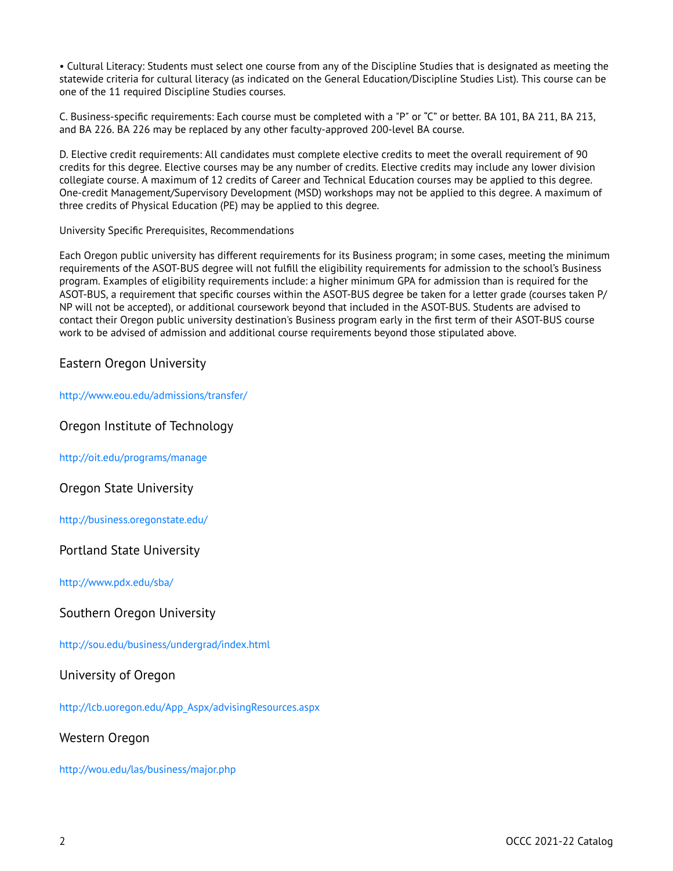• Cultural Literacy: Students must select one course from any of the Discipline Studies that is designated as meeting the statewide criteria for cultural literacy (as indicated on the General Education/Discipline Studies List). This course can be one of the 11 required Discipline Studies courses.

C. Business-specific requirements: Each course must be completed with a "P" or "C" or better. BA 101, BA 211, BA 213, and BA 226. BA 226 may be replaced by any other faculty-approved 200-level BA course.

D. Elective credit requirements: All candidates must complete elective credits to meet the overall requirement of 90 credits for this degree. Elective courses may be any number of credits. Elective credits may include any lower division collegiate course. A maximum of 12 credits of Career and Technical Education courses may be applied to this degree. One-credit Management/Supervisory Development (MSD) workshops may not be applied to this degree. A maximum of three credits of Physical Education (PE) may be applied to this degree.

#### University Specific Prerequisites, Recommendations

Each Oregon public university has different requirements for its Business program; in some cases, meeting the minimum requirements of the ASOT-BUS degree will not fulfill the eligibility requirements for admission to the school's Business program. Examples of eligibility requirements include: a higher minimum GPA for admission than is required for the ASOT-BUS, a requirement that specific courses within the ASOT-BUS degree be taken for a letter grade (courses taken P/ NP will not be accepted), or additional coursework beyond that included in the ASOT-BUS. Students are advised to contact their Oregon public university destination's Business program early in the first term of their ASOT-BUS course work to be advised of admission and additional course requirements beyond those stipulated above.

### Eastern Oregon University

<http://www.eou.edu/admissions/transfer/>

Oregon Institute of Technology

<http://oit.edu/programs/manage>

Oregon State University

[http://business.oregonstate.edu/](https://business.oregonstate.edu/) 

### Portland State University

[http://www.pdx.edu/sba/](https://www.pdx.edu/sba/) 

### Southern Oregon University

[http://sou.edu/business/undergrad/index.html](https://sou.edu/business/undergrad/index.html) 

### University of Oregon

[http://lcb.uoregon.edu/App\\_Aspx/advisingResources.aspx](https://lcb.uoregon.edu/App_Aspx/advisingResources.aspx)

### Western Oregon

[http://wou.edu/las/business/major.php](https://wou.edu/las/business/major.php)